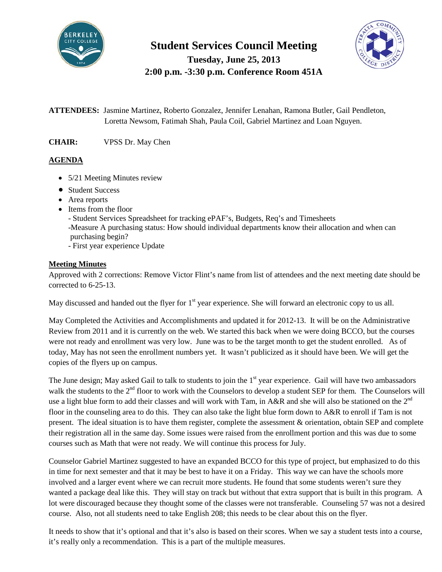

**Student Services Council Meeting**

**Tuesday, June 25, 2013 2:00 p.m. -3:30 p.m. Conference Room 451A**



**ATTENDEES:** Jasmine Martinez, Roberto Gonzalez, Jennifer Lenahan, Ramona Butler, Gail Pendleton, Loretta Newsom, Fatimah Shah, Paula Coil, Gabriel Martinez and Loan Nguyen.

**CHAIR:** VPSS Dr. May Chen

## **AGENDA**

- 5/21 Meeting Minutes review
- Student Success
- Area reports
- Items from the floor
	- Student Services Spreadsheet for tracking ePAF's, Budgets, Req's and Timesheets -Measure A purchasing status: How should individual departments know their allocation and when can purchasing begin?
	- First year experience Update

### **Meeting Minutes**

Approved with 2 corrections: Remove Victor Flint's name from list of attendees and the next meeting date should be corrected to 6-25-13.

May discussed and handed out the flyer for 1<sup>st</sup> year experience. She will forward an electronic copy to us all.

May Completed the Activities and Accomplishments and updated it for 2012-13. It will be on the Administrative Review from 2011 and it is currently on the web. We started this back when we were doing BCCO, but the courses were not ready and enrollment was very low. June was to be the target month to get the student enrolled. As of today, May has not seen the enrollment numbers yet. It wasn't publicized as it should have been. We will get the copies of the flyers up on campus.

The June design; May asked Gail to talk to students to join the 1<sup>st</sup> year experience. Gail will have two ambassadors walk the students to the  $2<sup>nd</sup>$  floor to work with the Counselors to develop a student SEP for them. The Counselors will use a light blue form to add their classes and will work with Tam, in A&R and she will also be stationed on the  $2^{nd}$ floor in the counseling area to do this. They can also take the light blue form down to A&R to enroll if Tam is not present. The ideal situation is to have them register, complete the assessment & orientation, obtain SEP and complete their registration all in the same day. Some issues were raised from the enrollment portion and this was due to some courses such as Math that were not ready. We will continue this process for July.

Counselor Gabriel Martinez suggested to have an expanded BCCO for this type of project, but emphasized to do this in time for next semester and that it may be best to have it on a Friday. This way we can have the schools more involved and a larger event where we can recruit more students. He found that some students weren't sure they wanted a package deal like this. They will stay on track but without that extra support that is built in this program. A lot were discouraged because they thought some of the classes were not transferable. Counseling 57 was not a desired course. Also, not all students need to take English 208; this needs to be clear about this on the flyer.

It needs to show that it's optional and that it's also is based on their scores. When we say a student tests into a course, it's really only a recommendation. This is a part of the multiple measures.